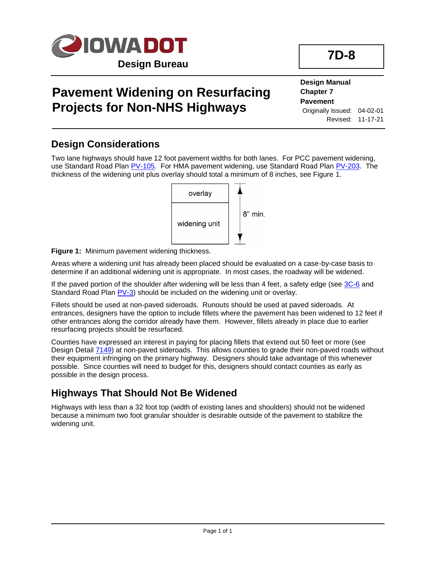

# **Pavement Widening on Resurfacing Projects for Non-NHS Highways**

**Design Manual Chapter 7 Pavement** Originally Issued: 04-02-01 Revised: 11-17-21

#### **Design Considerations**

Two lane highways should have 12 foot pavement widths for both lanes. For PCC pavement widening, use Standard Road Pla[n PV-105.](../SRP/IndividualStandards/pv105.pdf) For HMA pavement widening, use Standard Road Plan [PV-203.](../SRP/IndividualStandards/pv203.pdf) The thickness of the widening unit plus overlay should total a minimum of 8 inches, see Figure 1.



**Figure 1:** Minimum pavement widening thickness.

Areas where a widening unit has already been placed should be evaluated on a case-by-case basis to determine if an additional widening unit is appropriate. In most cases, the roadway will be widened.

If the paved portion of the shoulder after widening will be less than 4 feet, a safety edge (see [3C-6](03C-06.pdf) and Standard Road Plan [PV-3\)](../SRP/IndividualStandards/pv003.pdf) should be included on the widening unit or overlay.

Fillets should be used at non-paved sideroads. Runouts should be used at paved sideroads. At entrances, designers have the option to include fillets where the pavement has been widened to 12 feet if other entrances along the corridor already have them. However, fillets already in place due to earlier resurfacing projects should be resurfaced.

Counties have expressed an interest in paying for placing fillets that extend out 50 feet or more (see Design Detail [7149\)](../tnt/PDFsandWebFiles/IndividualPDFs/7149.PDF) at non-paved sideroads. This allows counties to grade their non-paved roads without their equipment infringing on the primary highway. Designers should take advantage of this whenever possible. Since counties will need to budget for this, designers should contact counties as early as possible in the design process.

#### **Highways That Should Not Be Widened**

Highways with less than a 32 foot top (width of existing lanes and shoulders) should not be widened because a minimum two foot granular shoulder is desirable outside of the pavement to stabilize the widening unit.

# **7D-8**